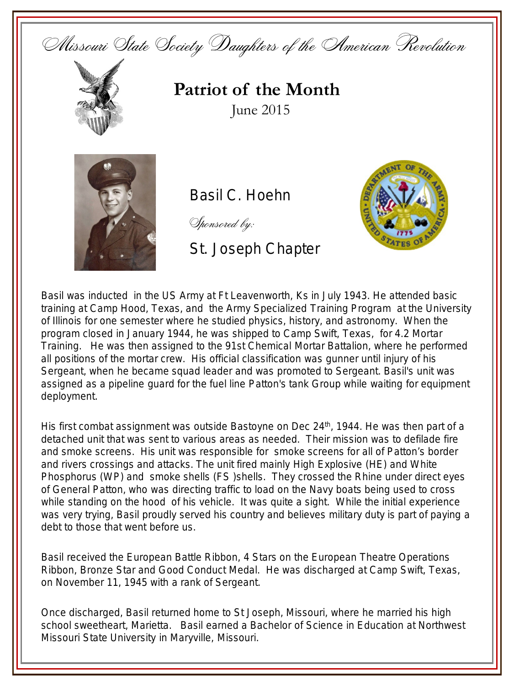



**Patriot of the Month** June 2015



Basil C. Hoehn

Sponsored by:

St. Joseph Chapter



Basil was inducted in the US Army at Ft Leavenworth, Ks in July 1943. He attended basic training at Camp Hood, Texas, and the Army Specialized Training Program at the University of Illinois for one semester where he studied physics, history, and astronomy. When the program closed in January 1944, he was shipped to Camp Swift, Texas, for 4.2 Mortar Training. He was then assigned to the 91st Chemical Mortar Battalion, where he performed all positions of the mortar crew. His official classification was gunner until injury of his Sergeant, when he became squad leader and was promoted to Sergeant. Basil's unit was assigned as a pipeline guard for the fuel line Patton's tank Group while waiting for equipment deployment.

His first combat assignment was outside Bastoyne on Dec  $24<sup>th</sup>$ , 1944. He was then part of a detached unit that was sent to various areas as needed. Their mission was to defilade fire and smoke screens. His unit was responsible for smoke screens for all of Patton's border and rivers crossings and attacks. The unit fired mainly High Explosive (HE) and White Phosphorus (WP) and smoke shells (FS )shells. They crossed the Rhine under direct eyes of General Patton, who was directing traffic to load on the Navy boats being used to cross while standing on the hood of his vehicle. It was quite a sight. While the initial experience was very trying, Basil proudly served his country and believes military duty is part of paying a debt to those that went before us.

Basil received the European Battle Ribbon, 4 Stars on the European Theatre Operations Ribbon, Bronze Star and Good Conduct Medal. He was discharged at Camp Swift, Texas, on November 11, 1945 with a rank of Sergeant.

Once discharged, Basil returned home to St Joseph, Missouri, where he married his high school sweetheart, Marietta. Basil earned a Bachelor of Science in Education at Northwest Missouri State University in Maryville, Missouri.